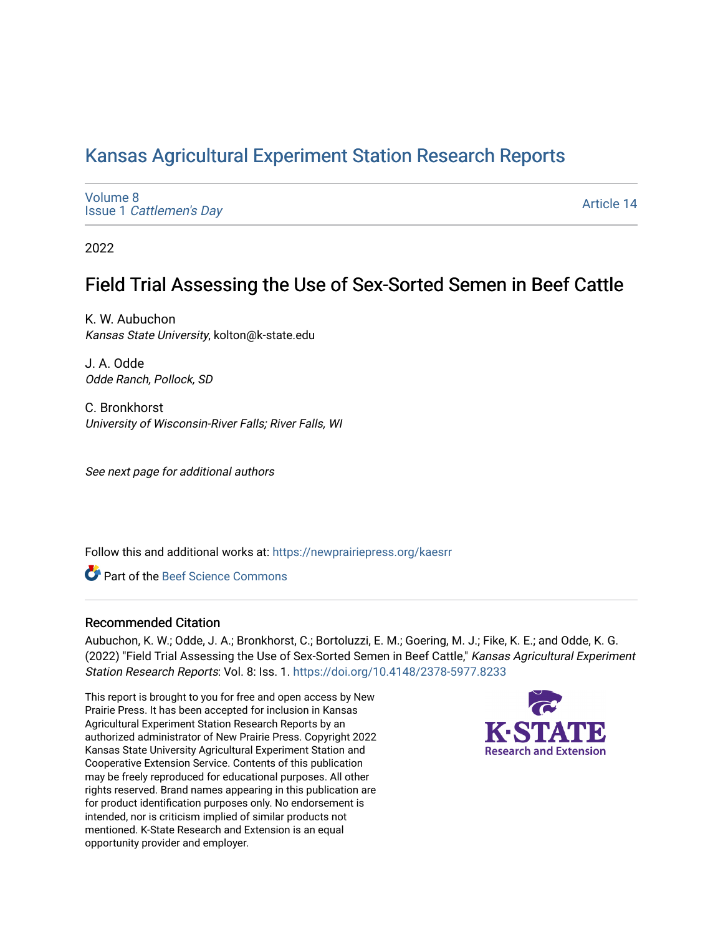## [Kansas Agricultural Experiment Station Research Reports](https://newprairiepress.org/kaesrr)

[Volume 8](https://newprairiepress.org/kaesrr/vol8) Issue 1 [Cattlemen's Day](https://newprairiepress.org/kaesrr/vol8/iss1) 

[Article 14](https://newprairiepress.org/kaesrr/vol8/iss1/14) 

2022

## Field Trial Assessing the Use of Sex-Sorted Semen in Beef Cattle

K. W. Aubuchon Kansas State University, kolton@k-state.edu

J. A. Odde Odde Ranch, Pollock, SD

C. Bronkhorst University of Wisconsin-River Falls; River Falls, WI

See next page for additional authors

Follow this and additional works at: [https://newprairiepress.org/kaesrr](https://newprairiepress.org/kaesrr?utm_source=newprairiepress.org%2Fkaesrr%2Fvol8%2Fiss1%2F14&utm_medium=PDF&utm_campaign=PDFCoverPages) 

Part of the [Beef Science Commons](http://network.bepress.com/hgg/discipline/1404?utm_source=newprairiepress.org%2Fkaesrr%2Fvol8%2Fiss1%2F14&utm_medium=PDF&utm_campaign=PDFCoverPages) 

#### Recommended Citation

Aubuchon, K. W.; Odde, J. A.; Bronkhorst, C.; Bortoluzzi, E. M.; Goering, M. J.; Fike, K. E.; and Odde, K. G. (2022) "Field Trial Assessing the Use of Sex-Sorted Semen in Beef Cattle," Kansas Agricultural Experiment Station Research Reports: Vol. 8: Iss. 1.<https://doi.org/10.4148/2378-5977.8233>

This report is brought to you for free and open access by New Prairie Press. It has been accepted for inclusion in Kansas Agricultural Experiment Station Research Reports by an authorized administrator of New Prairie Press. Copyright 2022 Kansas State University Agricultural Experiment Station and Cooperative Extension Service. Contents of this publication may be freely reproduced for educational purposes. All other rights reserved. Brand names appearing in this publication are for product identification purposes only. No endorsement is intended, nor is criticism implied of similar products not mentioned. K-State Research and Extension is an equal opportunity provider and employer.

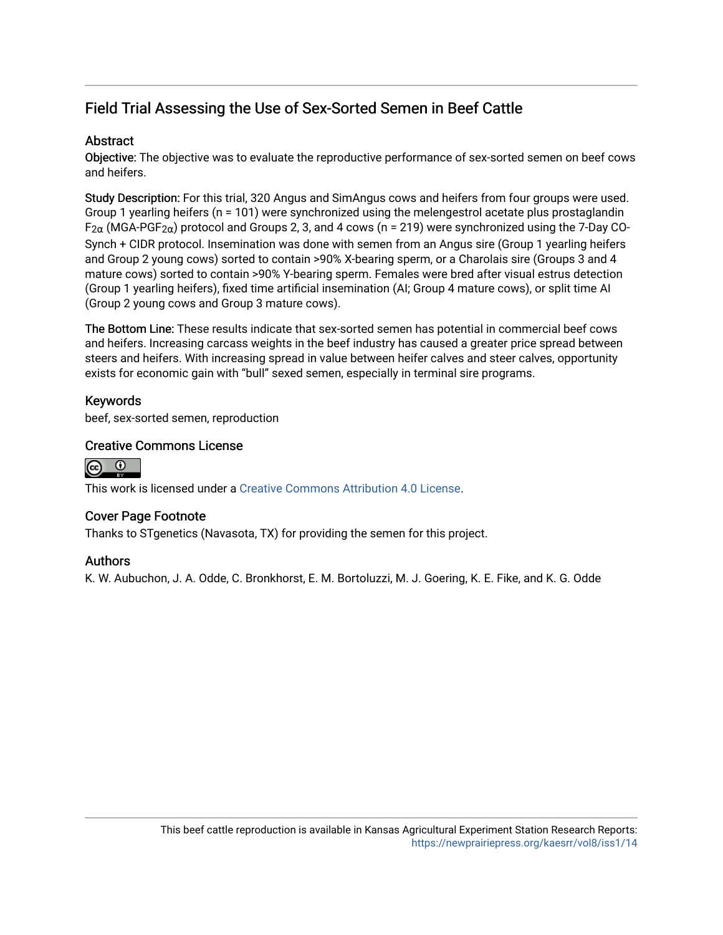## Field Trial Assessing the Use of Sex-Sorted Semen in Beef Cattle

## **Abstract**

Objective: The objective was to evaluate the reproductive performance of sex-sorted semen on beef cows and heifers.

Study Description: For this trial, 320 Angus and SimAngus cows and heifers from four groups were used. Group 1 yearling heifers (n = 101) were synchronized using the melengestrol acetate plus prostaglandin  $F_{2\alpha}$  (MGA-PGF<sub>2 $\alpha$ </sub>) protocol and Groups 2, 3, and 4 cows (n = 219) were synchronized using the 7-Day CO-Synch + CIDR protocol. Insemination was done with semen from an Angus sire (Group 1 yearling heifers and Group 2 young cows) sorted to contain >90% X-bearing sperm, or a Charolais sire (Groups 3 and 4 mature cows) sorted to contain >90% Y-bearing sperm. Females were bred after visual estrus detection (Group 1 yearling heifers), fixed time artificial insemination (AI; Group 4 mature cows), or split time AI (Group 2 young cows and Group 3 mature cows).

The Bottom Line: These results indicate that sex-sorted semen has potential in commercial beef cows and heifers. Increasing carcass weights in the beef industry has caused a greater price spread between steers and heifers. With increasing spread in value between heifer calves and steer calves, opportunity exists for economic gain with "bull" sexed semen, especially in terminal sire programs.

## Keywords

beef, sex-sorted semen, reproduction

#### Creative Commons License



This work is licensed under a [Creative Commons Attribution 4.0 License](https://creativecommons.org/licenses/by/4.0/).

#### Cover Page Footnote

Thanks to STgenetics (Navasota, TX) for providing the semen for this project.

#### Authors

K. W. Aubuchon, J. A. Odde, C. Bronkhorst, E. M. Bortoluzzi, M. J. Goering, K. E. Fike, and K. G. Odde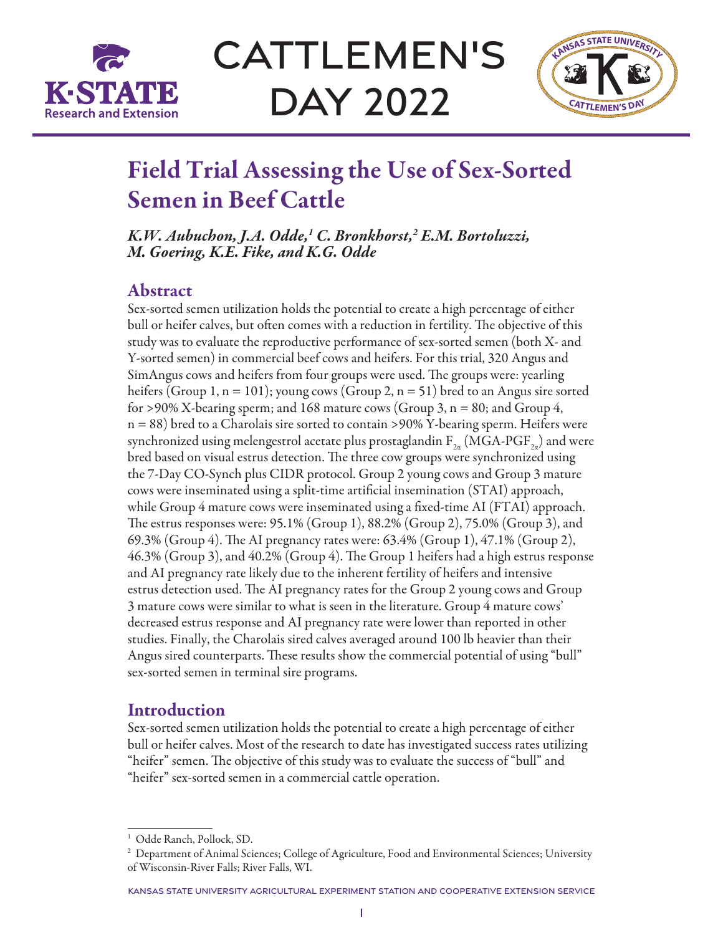

CATTLEMEN'S Day 2022



# Field Trial Assessing the Use of Sex-Sorted Semen in Beef Cattle

*K.W. Aubuchon, J.A. Odde,1 C. Bronkhorst,2 E.M. Bortoluzzi, M. Goering, K.E. Fike, and K.G. Odde*

## Abstract

Sex-sorted semen utilization holds the potential to create a high percentage of either bull or heifer calves, but often comes with a reduction in fertility. The objective of this study was to evaluate the reproductive performance of sex-sorted semen (both X- and Y-sorted semen) in commercial beef cows and heifers. For this trial, 320 Angus and SimAngus cows and heifers from four groups were used. The groups were: yearling heifers (Group 1,  $n = 101$ ); young cows (Group 2,  $n = 51$ ) bred to an Angus sire sorted for >90% X-bearing sperm; and 168 mature cows (Group 3,  $n = 80$ ; and Group 4, n = 88) bred to a Charolais sire sorted to contain >90% Y-bearing sperm. Heifers were synchronized using melengestrol acetate plus prostaglandin  $F_{2a}$  (MGA-PGF<sub>2a</sub>) and were bred based on visual estrus detection. The three cow groups were synchronized using the 7-Day CO-Synch plus CIDR protocol. Group 2 young cows and Group 3 mature cows were inseminated using a split-time artificial insemination (STAI) approach, while Group 4 mature cows were inseminated using a fixed-time AI (FTAI) approach. The estrus responses were: 95.1% (Group 1), 88.2% (Group 2), 75.0% (Group 3), and 69.3% (Group 4). The AI pregnancy rates were: 63.4% (Group 1), 47.1% (Group 2), 46.3% (Group 3), and 40.2% (Group 4). The Group 1 heifers had a high estrus response and AI pregnancy rate likely due to the inherent fertility of heifers and intensive estrus detection used. The AI pregnancy rates for the Group 2 young cows and Group 3 mature cows were similar to what is seen in the literature. Group 4 mature cows' decreased estrus response and AI pregnancy rate were lower than reported in other studies. Finally, the Charolais sired calves averaged around 100 lb heavier than their Angus sired counterparts. These results show the commercial potential of using "bull" sex-sorted semen in terminal sire programs.

## **Introduction**

Sex-sorted semen utilization holds the potential to create a high percentage of either bull or heifer calves. Most of the research to date has investigated success rates utilizing "heifer" semen. The objective of this study was to evaluate the success of "bull" and "heifer" sex-sorted semen in a commercial cattle operation.

<sup>&</sup>lt;sup>1</sup> Odde Ranch, Pollock, SD.

<sup>&</sup>lt;sup>2</sup> Department of Animal Sciences; College of Agriculture, Food and Environmental Sciences; University of Wisconsin-River Falls; River Falls, WI.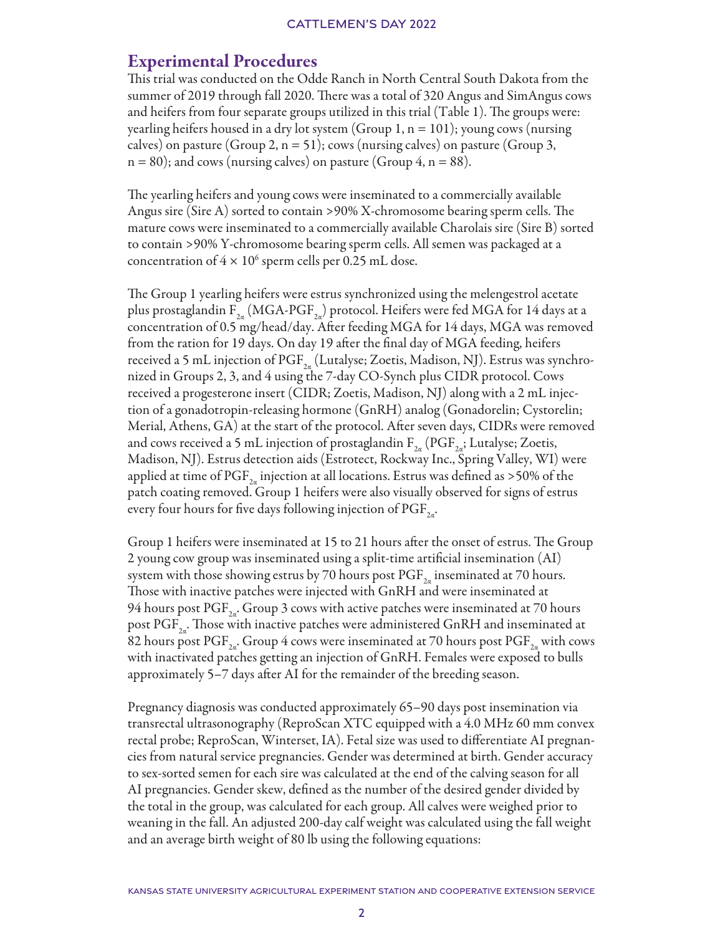## Experimental Procedures

This trial was conducted on the Odde Ranch in North Central South Dakota from the summer of 2019 through fall 2020. There was a total of 320 Angus and SimAngus cows and heifers from four separate groups utilized in this trial (Table 1). The groups were: yearling heifers housed in a dry lot system (Group 1, n = 101); young cows (nursing calves) on pasture (Group 2,  $n = 51$ ); cows (nursing calves) on pasture (Group 3,  $n = 80$ ); and cows (nursing calves) on pasture (Group 4,  $n = 88$ ).

The yearling heifers and young cows were inseminated to a commercially available Angus sire (Sire A) sorted to contain >90% X-chromosome bearing sperm cells. The mature cows were inseminated to a commercially available Charolais sire (Sire B) sorted to contain >90% Y-chromosome bearing sperm cells. All semen was packaged at a concentration of  $4 \times 10^6$  sperm cells per 0.25 mL dose.

The Group 1 yearling heifers were estrus synchronized using the melengestrol acetate plus prostaglandin  $F_{2a}$  (MGA-PGF<sub>2a</sub>) protocol. Heifers were fed MGA for 14 days at a concentration of 0.5 mg/head/day. After feeding MGA for 14 days, MGA was removed from the ration for 19 days. On day 19 after the final day of MGA feeding, heifers received a 5 mL injection of PGF<sub>2a</sub> (Lutalyse; Zoetis, Madison, NJ). Estrus was synchronized in Groups 2, 3, and 4 using the 7-day CO-Synch plus CIDR protocol. Cows received a progesterone insert (CIDR; Zoetis, Madison, NJ) along with a 2 mL injection of a gonadotropin-releasing hormone (GnRH) analog (Gonadorelin; Cystorelin; Merial, Athens, GA) at the start of the protocol. After seven days, CIDRs were removed and cows received a 5 mL injection of prostaglandin  $F_{2a}$  (PGF<sub>2a</sub>; Lutalyse; Zoetis, Madison, NJ). Estrus detection aids (Estrotect, Rockway Inc., Spring Valley, WI) were applied at time of PGF<sub>2</sub> injection at all locations. Estrus was defined as >50% of the patch coating removed. Group 1 heifers were also visually observed for signs of estrus every four hours for five days following injection of  $\mathrm{PGF}_{2a}$ .

Group 1 heifers were inseminated at 15 to 21 hours after the onset of estrus. The Group 2 young cow group was inseminated using a split-time artificial insemination (AI) system with those showing estrus by 70 hours post  $PGF_{2a}$  inseminated at 70 hours. Those with inactive patches were injected with GnRH and were inseminated at 94 hours post  $\mathrm{PGF}_{2n}$ . Group 3 cows with active patches were inseminated at 70 hours post  $PGF_{2a}$ . Those with inactive patches were administered GnRH and inseminated at 82 hours post PGF<sub>2a</sub>. Group 4 cows were inseminated at 70 hours post PGF<sub>2a</sub> with cows with inactivated patches getting an injection of GnRH. Females were exposed to bulls approximately 5–7 days after AI for the remainder of the breeding season.

Pregnancy diagnosis was conducted approximately 65–90 days post insemination via transrectal ultrasonography (ReproScan XTC equipped with a 4.0 MHz 60 mm convex rectal probe; ReproScan, Winterset, IA). Fetal size was used to differentiate AI pregnancies from natural service pregnancies. Gender was determined at birth. Gender accuracy to sex-sorted semen for each sire was calculated at the end of the calving season for all AI pregnancies. Gender skew, defined as the number of the desired gender divided by the total in the group, was calculated for each group. All calves were weighed prior to weaning in the fall. An adjusted 200-day calf weight was calculated using the fall weight and an average birth weight of 80 lb using the following equations: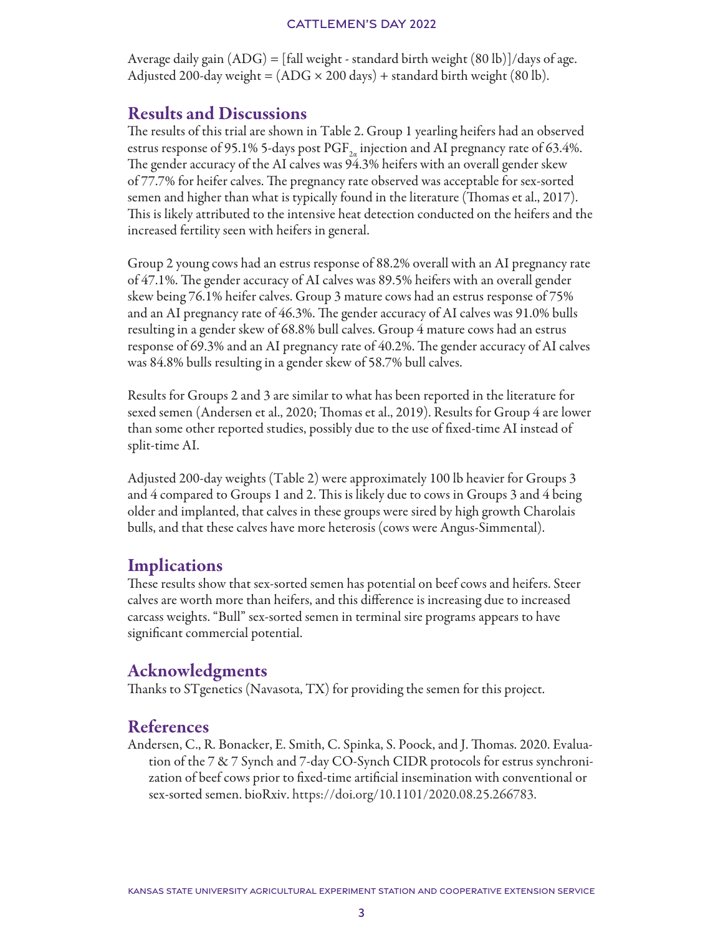#### CATTLEMEN'S DAY 2022

Average daily gain  $(ADG) = [fall weight - standard birth weight (80 lb)]/days$  of age. Adjusted 200-day weight =  $(ADG \times 200 \text{ days})$  + standard birth weight (80 lb).

## Results and Discussions

The results of this trial are shown in Table 2. Group 1 yearling heifers had an observed estrus response of 95.1% 5-days post  $\mathrm{PGF}_{2a}$  injection and AI pregnancy rate of 63.4%. The gender accuracy of the AI calves was 94.3% heifers with an overall gender skew of 77.7% for heifer calves. The pregnancy rate observed was acceptable for sex-sorted semen and higher than what is typically found in the literature (Thomas et al., 2017). This is likely attributed to the intensive heat detection conducted on the heifers and the increased fertility seen with heifers in general.

Group 2 young cows had an estrus response of 88.2% overall with an AI pregnancy rate of 47.1%. The gender accuracy of AI calves was 89.5% heifers with an overall gender skew being 76.1% heifer calves. Group 3 mature cows had an estrus response of 75% and an AI pregnancy rate of 46.3%. The gender accuracy of AI calves was 91.0% bulls resulting in a gender skew of 68.8% bull calves. Group 4 mature cows had an estrus response of 69.3% and an AI pregnancy rate of 40.2%. The gender accuracy of AI calves was 84.8% bulls resulting in a gender skew of 58.7% bull calves.

Results for Groups 2 and 3 are similar to what has been reported in the literature for sexed semen (Andersen et al., 2020; Thomas et al., 2019). Results for Group 4 are lower than some other reported studies, possibly due to the use of fixed-time AI instead of split-time AI.

Adjusted 200-day weights (Table 2) were approximately 100 lb heavier for Groups 3 and 4 compared to Groups 1 and 2. This is likely due to cows in Groups 3 and 4 being older and implanted, that calves in these groups were sired by high growth Charolais bulls, and that these calves have more heterosis (cows were Angus-Simmental).

## **Implications**

These results show that sex-sorted semen has potential on beef cows and heifers. Steer calves are worth more than heifers, and this difference is increasing due to increased carcass weights. "Bull" sex-sorted semen in terminal sire programs appears to have significant commercial potential.

## Acknowledgments

Thanks to STgenetics (Navasota, TX) for providing the semen for this project.

## References

Andersen, C., R. Bonacker, E. Smith, C. Spinka, S. Poock, and J. Thomas. 2020. Evaluation of the 7 & 7 Synch and 7-day CO-Synch CIDR protocols for estrus synchronization of beef cows prior to fixed-time artificial insemination with conventional or sex-sorted semen. bioRxiv. https://doi.org/10.1101/2020.08.25.266783.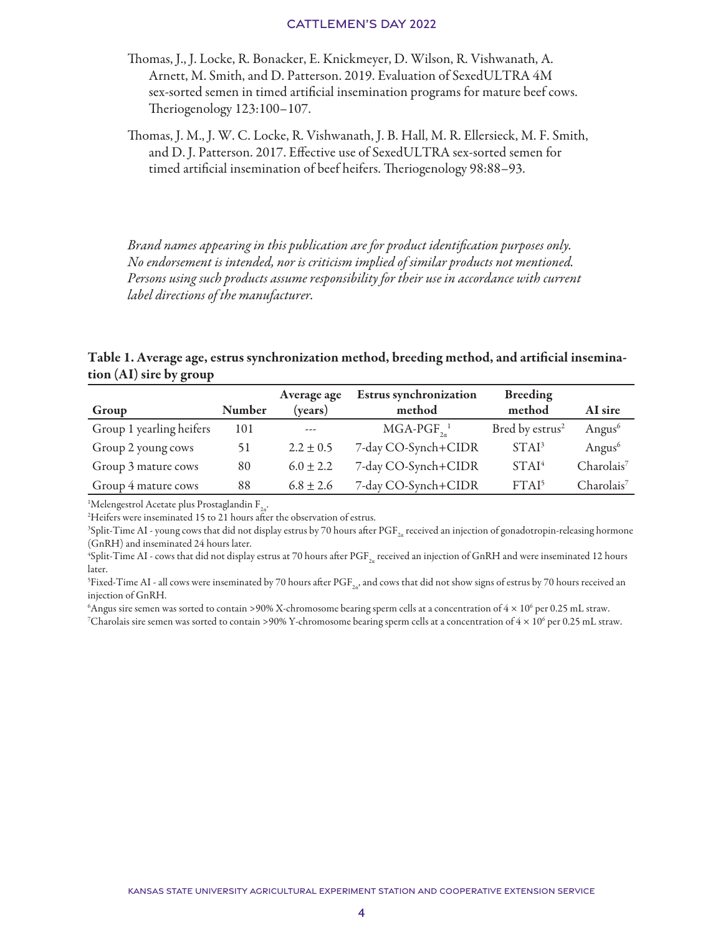#### CATTLEMEN'S DAY 2022

- Thomas, J., J. Locke, R. Bonacker, E. Knickmeyer, D. Wilson, R. Vishwanath, A. Arnett, M. Smith, and D. Patterson. 2019. Evaluation of SexedULTRA 4M sex-sorted semen in timed artificial insemination programs for mature beef cows. Theriogenology 123:100–107.
- Thomas, J. M., J. W. C. Locke, R. Vishwanath, J. B. Hall, M. R. Ellersieck, M. F. Smith, and D. J. Patterson. 2017. Effective use of SexedULTRA sex-sorted semen for timed artificial insemination of beef heifers. Theriogenology 98:88–93.

*Brand names appearing in this publication are for product identification purposes only. No endorsement is intended, nor is criticism implied of similar products not mentioned. Persons using such products assume responsibility for their use in accordance with current label directions of the manufacturer.*

#### Table 1. Average age, estrus synchronization method, breeding method, and artificial insemination (AI) sire by group

|                          |        | Average age   | <b>Estrus synchronization</b> | <b>Breeding</b>             |                        |
|--------------------------|--------|---------------|-------------------------------|-----------------------------|------------------------|
| Group                    | Number | (vears)       | method                        | method                      | AI sire                |
| Group 1 yearling heifers | 101    | ---           | $MGA-PGF_{2a}^{-1}$           | Bred by estrus <sup>2</sup> | Angus <sup>6</sup>     |
| Group 2 young cows       | 51     | $2.2 \pm 0.5$ | 7-day CO-Synch+CIDR           | STAI <sup>3</sup>           | Angus <sup>6</sup>     |
| Group 3 mature cows      | 80     | $6.0 \pm 2.2$ | 7-day CO-Synch+CIDR           | STAI <sup>4</sup>           | Charolais <sup>7</sup> |
| Group 4 mature cows      | 88     | $6.8 \pm 2.6$ | 7-day CO-Synch+CIDR           | FTAI <sup>5</sup>           | Charolais <sup>7</sup> |

<sup>1</sup>Melengestrol Acetate plus Prostaglandin F<sub>2a</sub>.<br><sup>2</sup>Heifers were inseminated 15 to 21 hours after

<sup>2</sup>Heifers were inseminated 15 to 21 hours after the observation of estrus.

 $^3$ Split-Time AI - young cows that did not display estrus by 70 hours after PGF $_{\rm 2x}$  received an injection of gonadotropin-releasing hormone (GnRH) and inseminated 24 hours later.

 $^4$ Split-Time AI - cows that did not display estrus at 70 hours after PGF $_{\rm 2a}$  received an injection of GnRH and were inseminated 12 hours later.

 $^5$ Fixed-Time AI - all cows were inseminated by 70 hours after PGF $_{\rm 2a'}$  and cows that did not show signs of estrus by 70 hours received an injection of GnRH.

 $^6$ Angus sire semen was sorted to contain >90% X-chromosome bearing sperm cells at a concentration of 4  $\times$  10 $^6$  per 0.25 mL straw.

 $^7$ Charolais sire semen was sorted to contain >90% Y-chromosome bearing sperm cells at a concentration of 4  $\times$  10<sup>6</sup> per 0.25 mL straw.